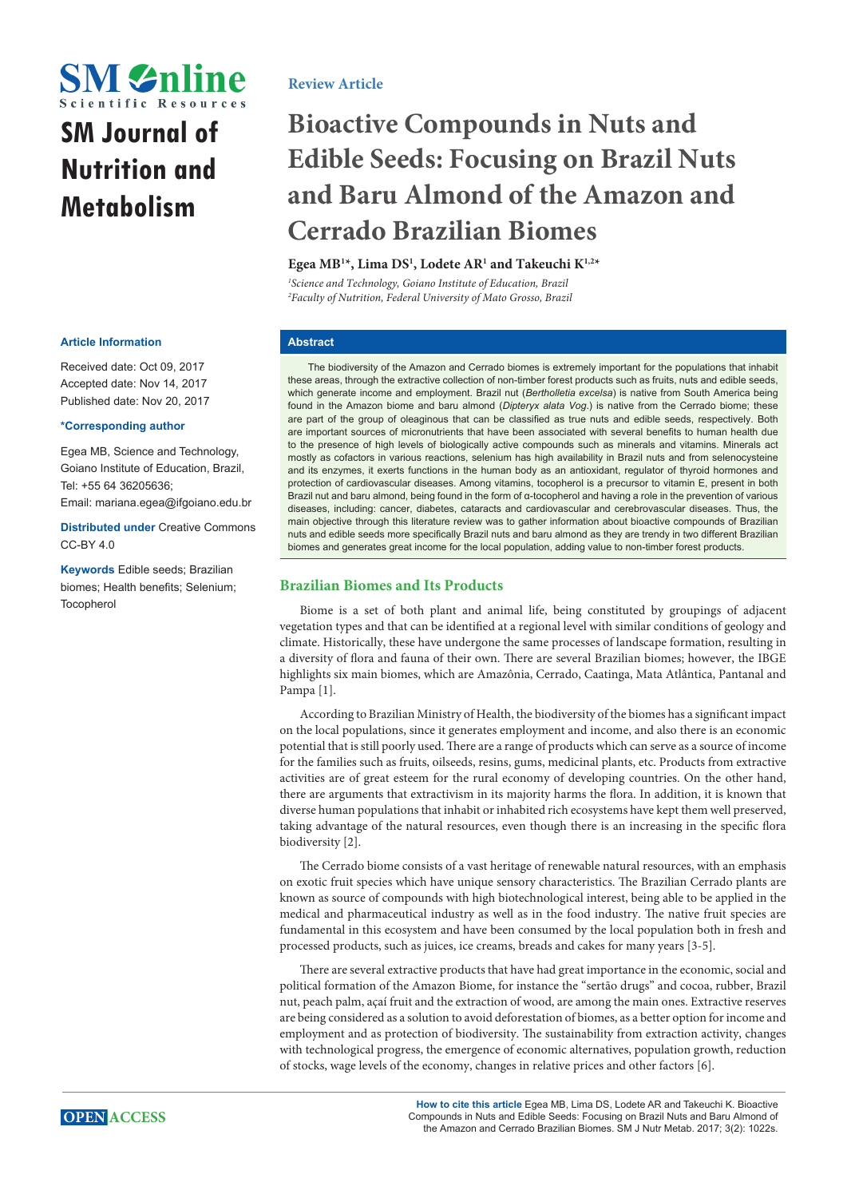

# **SM Journal of Nutrition and Metabolism**

## **Review Article**

# **Bioactive Compounds in Nuts and Edible Seeds: Focusing on Brazil Nuts and Baru Almond of the Amazon and Cerrado Brazilian Biomes**

## **Egea MB1 \*, Lima DS1 , Lodete AR1 and Takeuchi K1,2\***

*1 Science and Technology, Goiano Institute of Education, Brazil 2 Faculty of Nutrition, Federal University of Mato Grosso, Brazil*

## **Abstract**

The biodiversity of the Amazon and Cerrado biomes is extremely important for the populations that inhabit these areas, through the extractive collection of non-timber forest products such as fruits, nuts and edible seeds, which generate income and employment. Brazil nut (*Bertholletia excelsa*) is native from South America being found in the Amazon biome and baru almond (*Dipteryx alata Vog*.) is native from the Cerrado biome; these are part of the group of oleaginous that can be classified as true nuts and edible seeds, respectively. Both are important sources of micronutrients that have been associated with several benefits to human health due to the presence of high levels of biologically active compounds such as minerals and vitamins. Minerals act mostly as cofactors in various reactions, selenium has high availability in Brazil nuts and from selenocysteine and its enzymes, it exerts functions in the human body as an antioxidant, regulator of thyroid hormones and protection of cardiovascular diseases. Among vitamins, tocopherol is a precursor to vitamin E, present in both Brazil nut and baru almond, being found in the form of α-tocopherol and having a role in the prevention of various diseases, including: cancer, diabetes, cataracts and cardiovascular and cerebrovascular diseases. Thus, the main objective through this literature review was to gather information about bioactive compounds of Brazilian nuts and edible seeds more specifically Brazil nuts and baru almond as they are trendy in two different Brazilian biomes and generates great income for the local population, adding value to non-timber forest products.

## **Brazilian Biomes and Its Products**

Biome is a set of both plant and animal life, being constituted by groupings of adjacent vegetation types and that can be identified at a regional level with similar conditions of geology and climate. Historically, these have undergone the same processes of landscape formation, resulting in a diversity of flora and fauna of their own. There are several Brazilian biomes; however, the IBGE highlights six main biomes, which are Amazônia, Cerrado, Caatinga, Mata Atlântica, Pantanal and Pampa [1].

According to Brazilian Ministry of Health, the biodiversity of the biomes has a significant impact on the local populations, since it generates employment and income, and also there is an economic potential that is still poorly used. There are a range of products which can serve as a source of income for the families such as fruits, oilseeds, resins, gums, medicinal plants, etc. Products from extractive activities are of great esteem for the rural economy of developing countries. On the other hand, there are arguments that extractivism in its majority harms the flora. In addition, it is known that diverse human populations that inhabit or inhabited rich ecosystems have kept them well preserved, taking advantage of the natural resources, even though there is an increasing in the specific flora biodiversity [2].

The Cerrado biome consists of a vast heritage of renewable natural resources, with an emphasis on exotic fruit species which have unique sensory characteristics. The Brazilian Cerrado plants are known as source of compounds with high biotechnological interest, being able to be applied in the medical and pharmaceutical industry as well as in the food industry. The native fruit species are fundamental in this ecosystem and have been consumed by the local population both in fresh and processed products, such as juices, ice creams, breads and cakes for many years [3-5].

There are several extractive products that have had great importance in the economic, social and political formation of the Amazon Biome, for instance the "sertão drugs" and cocoa, rubber, Brazil nut, peach palm, açaí fruit and the extraction of wood, are among the main ones. Extractive reserves are being considered as a solution to avoid deforestation of biomes, as a better option for income and employment and as protection of biodiversity. The sustainability from extraction activity, changes with technological progress, the emergence of economic alternatives, population growth, reduction of stocks, wage levels of the economy, changes in relative prices and other factors [6].

#### **Article Information**

Received date: Oct 09, 2017 Accepted date: Nov 14, 2017 Published date: Nov 20, 2017

### **\*Corresponding author**

Egea MB, Science and Technology, Goiano Institute of Education, Brazil, Tel: +55 64 36205636;

Email: mariana.egea@ifgoiano.edu.br

**Distributed under** [Creative Commons](https://creativecommons.org/licenses/by/4.0/)  [CC-BY 4.0](https://creativecommons.org/licenses/by/4.0/)

**Keywords** Edible seeds; Brazilian biomes; Health benefits; Selenium; Tocopherol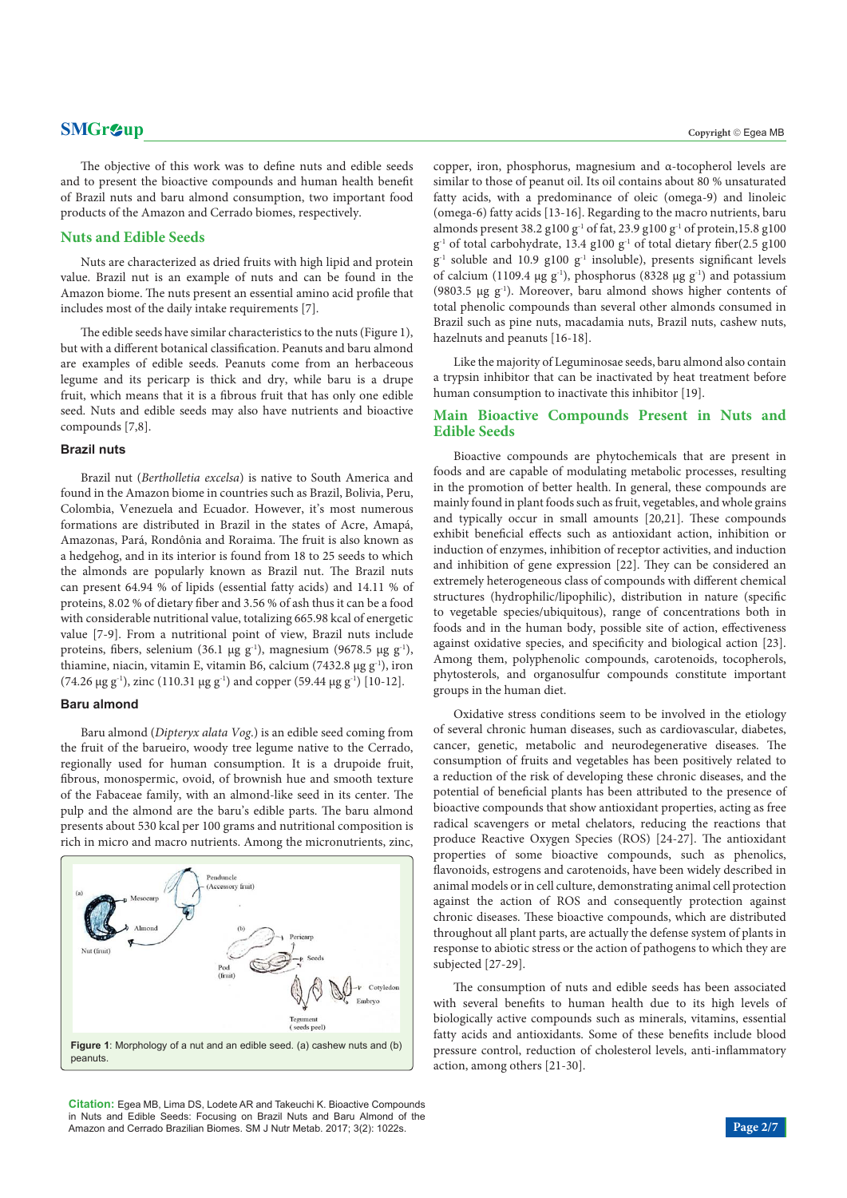# **SMGr** $\blacktriangleright$ **up** Copyright © Egea MB

The objective of this work was to define nuts and edible seeds and to present the bioactive compounds and human health benefit of Brazil nuts and baru almond consumption, two important food products of the Amazon and Cerrado biomes, respectively.

### **Nuts and Edible Seeds**

Nuts are characterized as dried fruits with high lipid and protein value. Brazil nut is an example of nuts and can be found in the Amazon biome. The nuts present an essential amino acid profile that includes most of the daily intake requirements [7].

The edible seeds have similar characteristics to the nuts (Figure 1), but with a different botanical classification. Peanuts and baru almond are examples of edible seeds. Peanuts come from an herbaceous legume and its pericarp is thick and dry, while baru is a drupe fruit, which means that it is a fibrous fruit that has only one edible seed. Nuts and edible seeds may also have nutrients and bioactive compounds [7,8].

#### **Brazil nuts**

Brazil nut (*Bertholletia excelsa*) is native to South America and found in the Amazon biome in countries such as Brazil, Bolivia, Peru, Colombia, Venezuela and Ecuador. However, it's most numerous formations are distributed in Brazil in the states of Acre, Amapá, Amazonas, Pará, Rondônia and Roraima. The fruit is also known as a hedgehog, and in its interior is found from 18 to 25 seeds to which the almonds are popularly known as Brazil nut. The Brazil nuts can present 64.94 % of lipids (essential fatty acids) and 14.11 % of proteins, 8.02 % of dietary fiber and 3.56 % of ash thus it can be a food with considerable nutritional value, totalizing 665.98 kcal of energetic value [7-9]. From a nutritional point of view, Brazil nuts include proteins, fibers, selenium (36.1 µg g<sup>-1</sup>), magnesium (9678.5 µg g<sup>-1</sup>), thiamine, niacin, vitamin E, vitamin B6, calcium (7432.8  $\mu$ g g<sup>-1</sup>), iron (74.26  $\mu$ g g<sup>-1</sup>), zinc (110.31  $\mu$ g g<sup>-1</sup>) and copper (59.44  $\mu$ g g<sup>-1</sup>) [10-12].

#### **Baru almond**

Baru almond (*Dipteryx alata Vog*.) is an edible seed coming from the fruit of the barueiro, woody tree legume native to the Cerrado, regionally used for human consumption. It is a drupoide fruit, fibrous, monospermic, ovoid, of brownish hue and smooth texture of the Fabaceae family, with an almond-like seed in its center. The pulp and the almond are the baru's edible parts. The baru almond presents about 530 kcal per 100 grams and nutritional composition is rich in micro and macro nutrients. Among the micronutrients, zinc,



**Citation:** Egea MB, Lima DS, Lodete AR and Takeuchi K. Bioactive Compounds in Nuts and Edible Seeds: Focusing on Brazil Nuts and Baru Almond of the Amazon and Cerrado Brazilian Biomes. SM J Nutr Metab. 2017; 3(2): 1022s. **Page 2/7**

copper, iron, phosphorus, magnesium and α-tocopherol levels are similar to those of peanut oil. Its oil contains about 80 % unsaturated fatty acids, with a predominance of oleic (omega-9) and linoleic (omega-6) fatty acids [13-16]. Regarding to the macro nutrients, baru almonds present 38.2 g100 g<sup>-1</sup> of fat, 23.9 g100 g<sup>-1</sup> of protein, 15.8 g100  $g^{-1}$  of total carbohydrate, 13.4 g100  $g^{-1}$  of total dietary fiber(2.5 g100  $g^{-1}$  soluble and 10.9 g100  $g^{-1}$  insoluble), presents significant levels of calcium (1109.4  $\mu$ g g<sup>-1</sup>), phosphorus (8328  $\mu$ g g<sup>-1</sup>) and potassium (9803.5 µg  $g^{-1}$ ). Moreover, baru almond shows higher contents of total phenolic compounds than several other almonds consumed in Brazil such as pine nuts, macadamia nuts, Brazil nuts, cashew nuts, hazelnuts and peanuts [16-18].

Like the majority of Leguminosae seeds, baru almond also contain a trypsin inhibitor that can be inactivated by heat treatment before human consumption to inactivate this inhibitor [19].

## **Main Bioactive Compounds Present in Nuts and Edible Seeds**

Bioactive compounds are phytochemicals that are present in foods and are capable of modulating metabolic processes, resulting in the promotion of better health. In general, these compounds are mainly found in plant foods such as fruit, vegetables, and whole grains and typically occur in small amounts [20,21]. These compounds exhibit beneficial effects such as antioxidant action, inhibition or induction of enzymes, inhibition of receptor activities, and induction and inhibition of gene expression [22]. They can be considered an extremely heterogeneous class of compounds with different chemical structures (hydrophilic/lipophilic), distribution in nature (specific to vegetable species/ubiquitous), range of concentrations both in foods and in the human body, possible site of action, effectiveness against oxidative species, and specificity and biological action [23]. Among them, polyphenolic compounds, carotenoids, tocopherols, phytosterols, and organosulfur compounds constitute important groups in the human diet.

Oxidative stress conditions seem to be involved in the etiology of several chronic human diseases, such as cardiovascular, diabetes, cancer, genetic, metabolic and neurodegenerative diseases. The consumption of fruits and vegetables has been positively related to a reduction of the risk of developing these chronic diseases, and the potential of beneficial plants has been attributed to the presence of bioactive compounds that show antioxidant properties, acting as free radical scavengers or metal chelators, reducing the reactions that produce Reactive Oxygen Species (ROS) [24-27]. The antioxidant properties of some bioactive compounds, such as phenolics, flavonoids, estrogens and carotenoids, have been widely described in animal models or in cell culture, demonstrating animal cell protection against the action of ROS and consequently protection against chronic diseases. These bioactive compounds, which are distributed throughout all plant parts, are actually the defense system of plants in response to abiotic stress or the action of pathogens to which they are subjected [27-29].

The consumption of nuts and edible seeds has been associated with several benefits to human health due to its high levels of biologically active compounds such as minerals, vitamins, essential fatty acids and antioxidants. Some of these benefits include blood pressure control, reduction of cholesterol levels, anti-inflammatory action, among others [21-30].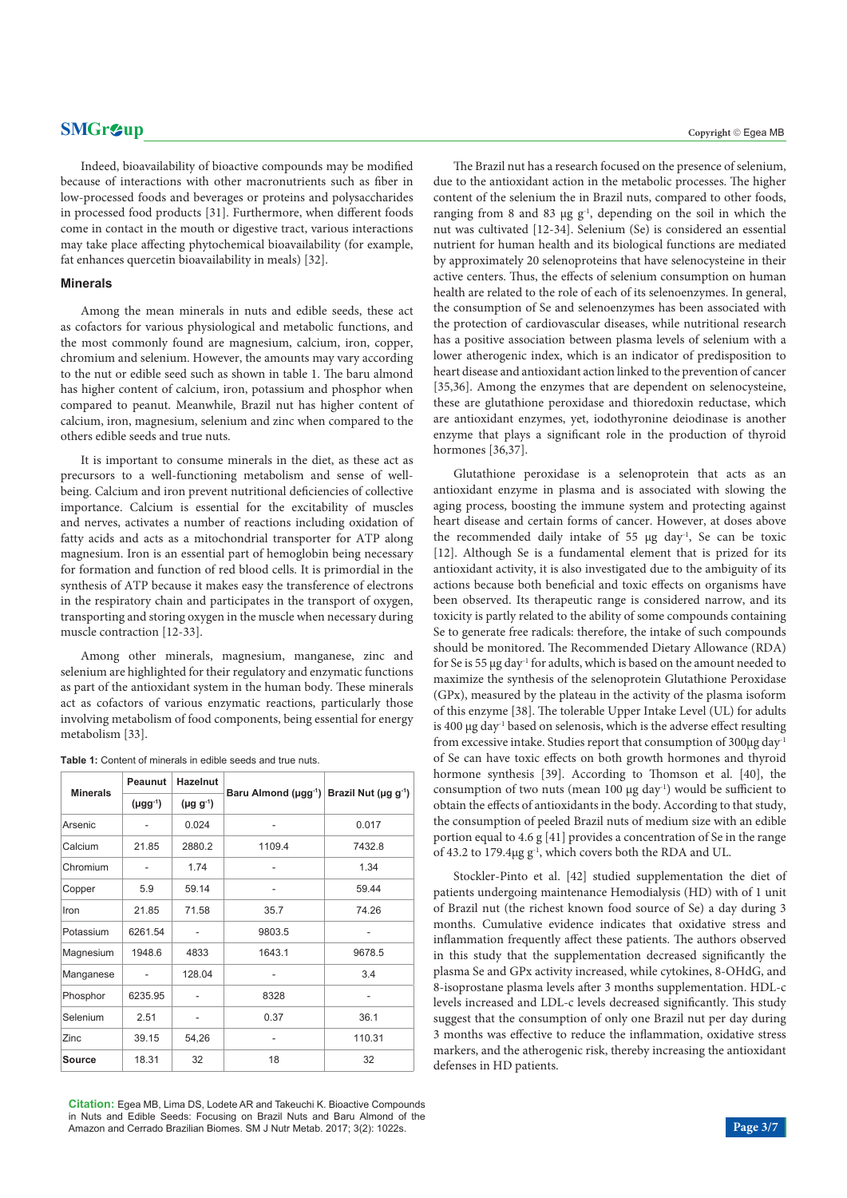# **SMGr** $\blacktriangleright$ **up** Copyright © Egea MB

Indeed, bioavailability of bioactive compounds may be modified because of interactions with other macronutrients such as fiber in low-processed foods and beverages or proteins and polysaccharides in processed food products [31]. Furthermore, when different foods come in contact in the mouth or digestive tract, various interactions may take place affecting phytochemical bioavailability (for example, fat enhances quercetin bioavailability in meals) [32].

#### **Minerals**

Among the mean minerals in nuts and edible seeds, these act as cofactors for various physiological and metabolic functions, and the most commonly found are magnesium, calcium, iron, copper, chromium and selenium. However, the amounts may vary according to the nut or edible seed such as shown in table 1. The baru almond has higher content of calcium, iron, potassium and phosphor when compared to peanut. Meanwhile, Brazil nut has higher content of calcium, iron, magnesium, selenium and zinc when compared to the others edible seeds and true nuts.

It is important to consume minerals in the diet, as these act as precursors to a well-functioning metabolism and sense of wellbeing. Calcium and iron prevent nutritional deficiencies of collective importance. Calcium is essential for the excitability of muscles and nerves, activates a number of reactions including oxidation of fatty acids and acts as a mitochondrial transporter for ATP along magnesium. Iron is an essential part of hemoglobin being necessary for formation and function of red blood cells. It is primordial in the synthesis of ATP because it makes easy the transference of electrons in the respiratory chain and participates in the transport of oxygen, transporting and storing oxygen in the muscle when necessary during muscle contraction [12-33].

Among other minerals, magnesium, manganese, zinc and selenium are highlighted for their regulatory and enzymatic functions as part of the antioxidant system in the human body. These minerals act as cofactors of various enzymatic reactions, particularly those involving metabolism of food components, being essential for energy metabolism [33].

| <b>Table 1:</b> Content of minerals in edible seeds and true nuts. |  |  |
|--------------------------------------------------------------------|--|--|
|--------------------------------------------------------------------|--|--|

| <b>Minerals</b> | Peaunut         | <b>Hazelnut</b>     | Baru Almond (µgg-1) | Brazil Nut (µg g-1) |
|-----------------|-----------------|---------------------|---------------------|---------------------|
|                 | $(\mu gg^{-1})$ | $(\mu g \, g^{-1})$ |                     |                     |
| Arsenic         |                 | 0.024               | ٠                   | 0.017               |
| Calcium         | 21.85           | 2880.2              | 1109.4              | 7432.8              |
| Chromium        |                 | 1.74                |                     | 1.34                |
| Copper          | 5.9             | 59.14               | -                   | 59.44               |
| Iron            | 21.85           | 71.58               | 35.7                | 74.26               |
| Potassium       | 6261.54         |                     | 9803.5              |                     |
| Magnesium       | 1948.6          | 4833                | 1643.1              | 9678.5              |
| Manganese       | ۰               | 128.04              | -                   | 3.4                 |
| Phosphor        | 6235.95         |                     | 8328                |                     |
| Selenium        | 2.51            |                     | 0.37                | 36.1                |
| Zinc            | 39.15           | 54,26               | $\overline{a}$      | 110.31              |
| <b>Source</b>   | 18.31           | 32                  | 18                  | 32                  |

**Citation:** Egea MB, Lima DS, Lodete AR and Takeuchi K. Bioactive Compounds in Nuts and Edible Seeds: Focusing on Brazil Nuts and Baru Almond of the Amazon and Cerrado Brazilian Biomes. SM J Nutr Metab. 2017; 3(2): 1022s. **Page 3/7**

The Brazil nut has a research focused on the presence of selenium, due to the antioxidant action in the metabolic processes. The higher content of the selenium the in Brazil nuts, compared to other foods, ranging from 8 and 83  $\mu$ g g<sup>-1</sup>, depending on the soil in which the nut was cultivated [12-34]. Selenium (Se) is considered an essential nutrient for human health and its biological functions are mediated by approximately 20 selenoproteins that have selenocysteine in their active centers. Thus, the effects of selenium consumption on human health are related to the role of each of its selenoenzymes. In general, the consumption of Se and selenoenzymes has been associated with the protection of cardiovascular diseases, while nutritional research has a positive association between plasma levels of selenium with a lower atherogenic index, which is an indicator of predisposition to heart disease and antioxidant action linked to the prevention of cancer [35,36]. Among the enzymes that are dependent on selenocysteine, these are glutathione peroxidase and thioredoxin reductase, which are antioxidant enzymes, yet, iodothyronine deiodinase is another enzyme that plays a significant role in the production of thyroid hormones [36,37].

Glutathione peroxidase is a selenoprotein that acts as an antioxidant enzyme in plasma and is associated with slowing the aging process, boosting the immune system and protecting against heart disease and certain forms of cancer. However, at doses above the recommended daily intake of 55 µg day-1, Se can be toxic [12]. Although Se is a fundamental element that is prized for its antioxidant activity, it is also investigated due to the ambiguity of its actions because both beneficial and toxic effects on organisms have been observed. Its therapeutic range is considered narrow, and its toxicity is partly related to the ability of some compounds containing Se to generate free radicals: therefore, the intake of such compounds should be monitored. The Recommended Dietary Allowance (RDA) for Se is 55 µg day-1 for adults, which is based on the amount needed to maximize the synthesis of the selenoprotein Glutathione Peroxidase (GPx), measured by the plateau in the activity of the plasma isoform of this enzyme [38]. The tolerable Upper Intake Level (UL) for adults is 400 µg day-1 based on selenosis, which is the adverse effect resulting from excessive intake. Studies report that consumption of 300µg day<sup>-1</sup> of Se can have toxic effects on both growth hormones and thyroid hormone synthesis [39]. According to Thomson et al. [40], the consumption of two nuts (mean 100  $\mu$ g day<sup>-1</sup>) would be sufficient to obtain the effects of antioxidants in the body. According to that study, the consumption of peeled Brazil nuts of medium size with an edible portion equal to 4.6 g [41] provides a concentration of Se in the range of 43.2 to 179.4µg g-1, which covers both the RDA and UL.

Stockler-Pinto et al. [42] studied supplementation the diet of patients undergoing maintenance Hemodialysis (HD) with of 1 unit of Brazil nut (the richest known food source of Se) a day during 3 months. Cumulative evidence indicates that oxidative stress and inflammation frequently affect these patients. The authors observed in this study that the supplementation decreased significantly the plasma Se and GPx activity increased, while cytokines, 8-OHdG, and 8-isoprostane plasma levels after 3 months supplementation. HDL-c levels increased and LDL-c levels decreased significantly. This study suggest that the consumption of only one Brazil nut per day during 3 months was effective to reduce the inflammation, oxidative stress markers, and the atherogenic risk, thereby increasing the antioxidant defenses in HD patients.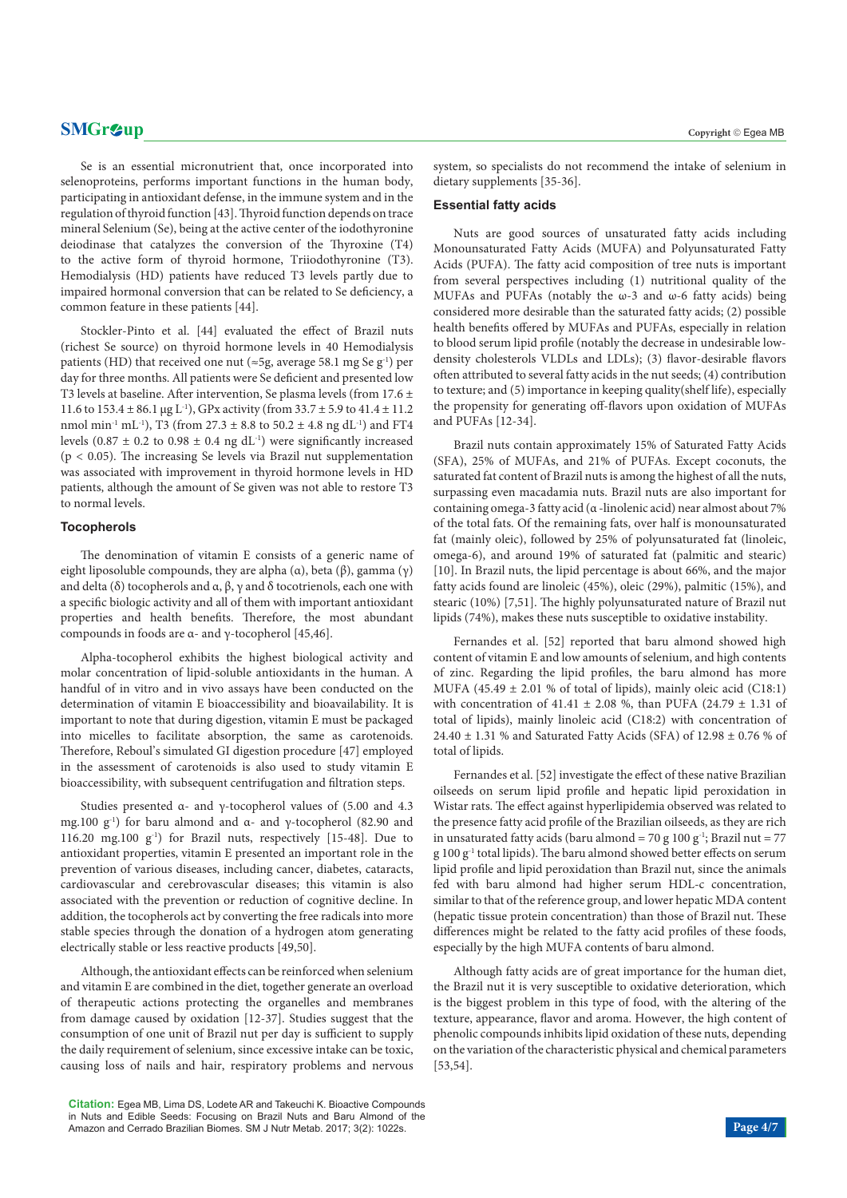# **SMGr** $\blacktriangleright$ **up** Copyright © Egea MB

Se is an essential micronutrient that, once incorporated into selenoproteins, performs important functions in the human body, participating in antioxidant defense, in the immune system and in the regulation of thyroid function [43]. Thyroid function depends on trace mineral Selenium (Se), being at the active center of the iodothyronine deiodinase that catalyzes the conversion of the Thyroxine (T4) to the active form of thyroid hormone, Triiodothyronine (T3). Hemodialysis (HD) patients have reduced T3 levels partly due to impaired hormonal conversion that can be related to Se deficiency, a common feature in these patients [44].

Stockler-Pinto et al. [44] evaluated the effect of Brazil nuts (richest Se source) on thyroid hormone levels in 40 Hemodialysis patients (HD) that received one nut ( $\approx$ 5g, average 58.1 mg Se g<sup>-1</sup>) per day for three months. All patients were Se deficient and presented low T3 levels at baseline. After intervention, Se plasma levels (from 17.6 ± 11.6 to 153.4  $\pm$  86.1 µg L<sup>-1</sup>), GPx activity (from 33.7  $\pm$  5.9 to 41.4  $\pm$  11.2 nmol min<sup>-1</sup> mL<sup>-1</sup>), T3 (from 27.3  $\pm$  8.8 to 50.2  $\pm$  4.8 ng dL<sup>-1</sup>) and FT4 levels (0.87  $\pm$  0.2 to 0.98  $\pm$  0.4 ng dL<sup>-1</sup>) were significantly increased (p < 0.05). The increasing Se levels via Brazil nut supplementation was associated with improvement in thyroid hormone levels in HD patients, although the amount of Se given was not able to restore T3 to normal levels.

### **Tocopherols**

The denomination of vitamin E consists of a generic name of eight liposoluble compounds, they are alpha  $(\alpha)$ , beta  $(\beta)$ , gamma  $(\gamma)$ and delta (δ) tocopherols and  $\alpha$ ,  $\beta$ ,  $\gamma$  and δ tocotrienols, each one with a specific biologic activity and all of them with important antioxidant properties and health benefits. Therefore, the most abundant compounds in foods are α- and γ-tocopherol [45,46].

Alpha-tocopherol exhibits the highest biological activity and molar concentration of lipid-soluble antioxidants in the human. A handful of in vitro and in vivo assays have been conducted on the determination of vitamin E bioaccessibility and bioavailability. It is important to note that during digestion, vitamin E must be packaged into micelles to facilitate absorption, the same as carotenoids. Therefore, Reboul's simulated GI digestion procedure [47] employed in the assessment of carotenoids is also used to study vitamin E bioaccessibility, with subsequent centrifugation and filtration steps.

Studies presented α- and γ-tocopherol values of (5.00 and 4.3 mg.100 g<sup>-1</sup>) for baru almond and α- and γ-tocopherol (82.90 and 116.20 mg.100  $g^{-1}$ ) for Brazil nuts, respectively [15-48]. Due to antioxidant properties, vitamin E presented an important role in the prevention of various diseases, including cancer, diabetes, cataracts, cardiovascular and cerebrovascular diseases; this vitamin is also associated with the prevention or reduction of cognitive decline. In addition, the tocopherols act by converting the free radicals into more stable species through the donation of a hydrogen atom generating electrically stable or less reactive products [49,50].

Although, the antioxidant effects can be reinforced when selenium and vitamin E are combined in the diet, together generate an overload of therapeutic actions protecting the organelles and membranes from damage caused by oxidation [12-37]. Studies suggest that the consumption of one unit of Brazil nut per day is sufficient to supply the daily requirement of selenium, since excessive intake can be toxic, causing loss of nails and hair, respiratory problems and nervous

system, so specialists do not recommend the intake of selenium in dietary supplements [35-36].

#### **Essential fatty acids**

Nuts are good sources of unsaturated fatty acids including Monounsaturated Fatty Acids (MUFA) and Polyunsaturated Fatty Acids (PUFA). The fatty acid composition of tree nuts is important from several perspectives including (1) nutritional quality of the MUFAs and PUFAs (notably the  $\omega$ -3 and  $\omega$ -6 fatty acids) being considered more desirable than the saturated fatty acids; (2) possible health benefits offered by MUFAs and PUFAs, especially in relation to blood serum lipid profile (notably the decrease in undesirable lowdensity cholesterols VLDLs and LDLs); (3) flavor-desirable flavors often attributed to several fatty acids in the nut seeds; (4) contribution to texture; and (5) importance in keeping quality(shelf life), especially the propensity for generating off-flavors upon oxidation of MUFAs and PUFAs [12-34].

Brazil nuts contain approximately 15% of Saturated Fatty Acids (SFA), 25% of MUFAs, and 21% of PUFAs. Except coconuts, the saturated fat content of Brazil nuts is among the highest of all the nuts, surpassing even macadamia nuts. Brazil nuts are also important for containing omega-3 fatty acid (α -linolenic acid) near almost about 7% of the total fats. Of the remaining fats, over half is monounsaturated fat (mainly oleic), followed by 25% of polyunsaturated fat (linoleic, omega-6), and around 19% of saturated fat (palmitic and stearic) [10]. In Brazil nuts, the lipid percentage is about 66%, and the major fatty acids found are linoleic (45%), oleic (29%), palmitic (15%), and stearic (10%) [7,51]. The highly polyunsaturated nature of Brazil nut lipids (74%), makes these nuts susceptible to oxidative instability.

Fernandes et al. [52] reported that baru almond showed high content of vitamin E and low amounts of selenium, and high contents of zinc. Regarding the lipid profiles, the baru almond has more MUFA (45.49  $\pm$  2.01 % of total of lipids), mainly oleic acid (C18:1) with concentration of 41.41  $\pm$  2.08 %, than PUFA (24.79  $\pm$  1.31 of total of lipids), mainly linoleic acid (C18:2) with concentration of 24.40  $\pm$  1.31 % and Saturated Fatty Acids (SFA) of 12.98  $\pm$  0.76 % of total of lipids.

Fernandes et al. [52] investigate the effect of these native Brazilian oilseeds on serum lipid profile and hepatic lipid peroxidation in Wistar rats. The effect against hyperlipidemia observed was related to the presence fatty acid profile of the Brazilian oilseeds, as they are rich in unsaturated fatty acids (baru almond = 70 g 100 g<sup>-1</sup>; Brazil nut = 77  $g 100 g<sup>-1</sup>$  total lipids). The baru almond showed better effects on serum lipid profile and lipid peroxidation than Brazil nut, since the animals fed with baru almond had higher serum HDL-c concentration, similar to that of the reference group, and lower hepatic MDA content (hepatic tissue protein concentration) than those of Brazil nut. These differences might be related to the fatty acid profiles of these foods, especially by the high MUFA contents of baru almond.

Although fatty acids are of great importance for the human diet, the Brazil nut it is very susceptible to oxidative deterioration, which is the biggest problem in this type of food, with the altering of the texture, appearance, flavor and aroma. However, the high content of phenolic compounds inhibits lipid oxidation of these nuts, depending on the variation of the characteristic physical and chemical parameters [53,54].

**Citation:** Egea MB, Lima DS, Lodete AR and Takeuchi K. Bioactive Compounds in Nuts and Edible Seeds: Focusing on Brazil Nuts and Baru Almond of the Amazon and Cerrado Brazilian Biomes. SM J Nutr Metab. 2017; 3(2): 1022s. **Page 4/7**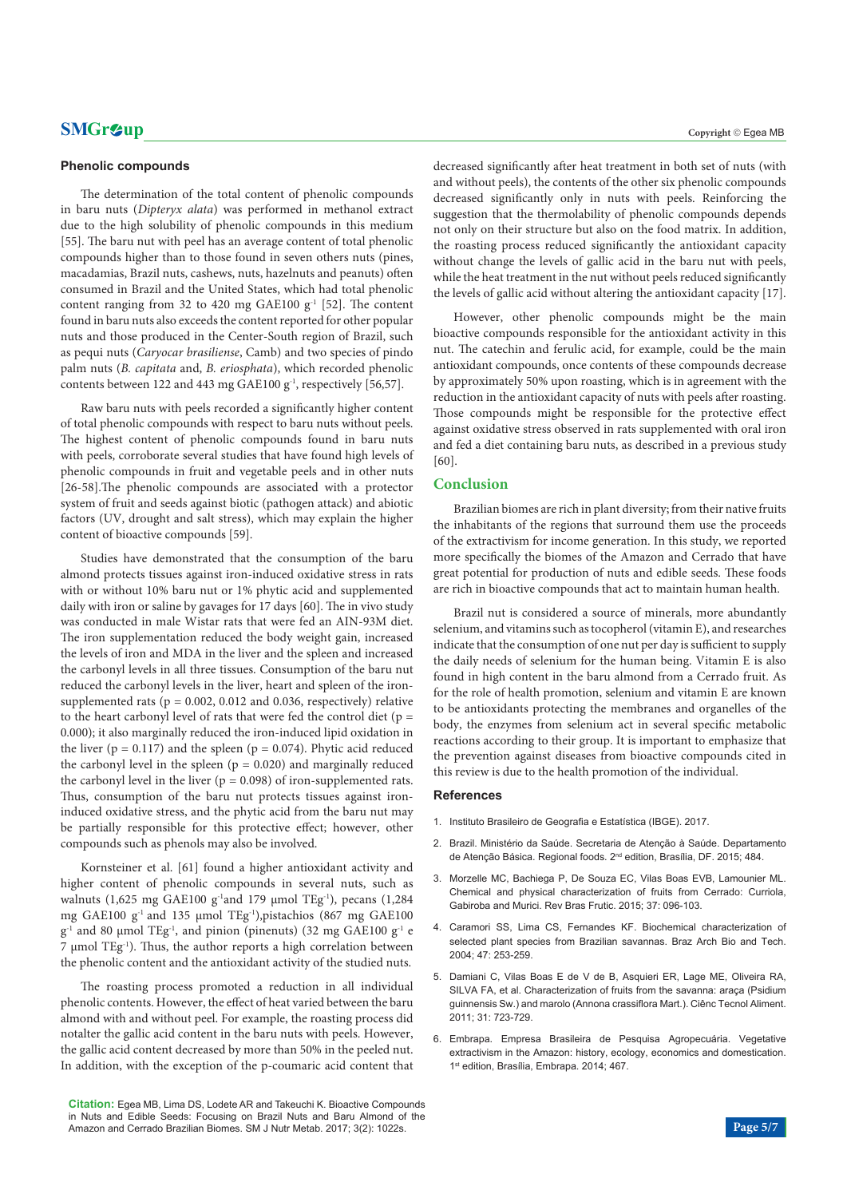#### **Phenolic compounds**

The determination of the total content of phenolic compounds in baru nuts (*Dipteryx alata*) was performed in methanol extract due to the high solubility of phenolic compounds in this medium [55]. The baru nut with peel has an average content of total phenolic compounds higher than to those found in seven others nuts (pines, macadamias, Brazil nuts, cashews, nuts, hazelnuts and peanuts) often consumed in Brazil and the United States, which had total phenolic content ranging from 32 to 420 mg GAE100  $g^{-1}$  [52]. The content found in baru nuts also exceeds the content reported for other popular nuts and those produced in the Center-South region of Brazil, such as pequi nuts (*Caryocar brasiliense*, Camb) and two species of pindo palm nuts (*B. capitata* and, *B. eriosphata*), which recorded phenolic contents between 122 and 443 mg GAE100 g<sup>-1</sup>, respectively [56,57].

Raw baru nuts with peels recorded a significantly higher content of total phenolic compounds with respect to baru nuts without peels. The highest content of phenolic compounds found in baru nuts with peels, corroborate several studies that have found high levels of phenolic compounds in fruit and vegetable peels and in other nuts [26-58].The phenolic compounds are associated with a protector system of fruit and seeds against biotic (pathogen attack) and abiotic factors (UV, drought and salt stress), which may explain the higher content of bioactive compounds [59].

Studies have demonstrated that the consumption of the baru almond protects tissues against iron-induced oxidative stress in rats with or without 10% baru nut or 1% phytic acid and supplemented daily with iron or saline by gavages for 17 days [60]. The in vivo study was conducted in male Wistar rats that were fed an AIN-93M diet. The iron supplementation reduced the body weight gain, increased the levels of iron and MDA in the liver and the spleen and increased the carbonyl levels in all three tissues. Consumption of the baru nut reduced the carbonyl levels in the liver, heart and spleen of the ironsupplemented rats ( $p = 0.002$ , 0.012 and 0.036, respectively) relative to the heart carbonyl level of rats that were fed the control diet ( $p =$ 0.000); it also marginally reduced the iron-induced lipid oxidation in the liver ( $p = 0.117$ ) and the spleen ( $p = 0.074$ ). Phytic acid reduced the carbonyl level in the spleen  $(p = 0.020)$  and marginally reduced the carbonyl level in the liver ( $p = 0.098$ ) of iron-supplemented rats. Thus, consumption of the baru nut protects tissues against ironinduced oxidative stress, and the phytic acid from the baru nut may be partially responsible for this protective effect; however, other compounds such as phenols may also be involved.

Kornsteiner et al. [61] found a higher antioxidant activity and higher content of phenolic compounds in several nuts, such as walnuts (1,625 mg GAE100 g<sup>-1</sup>and 179 μmol TEg<sup>-1</sup>), pecans (1,284 mg GAE100 g<sup>-1</sup> and 135 μmol TEg<sup>-1</sup>),pistachios (867 mg GAE100  $g^{-1}$  and 80 µmol TEg<sup>-1</sup>, and pinion (pinenuts) (32 mg GAE100 g<sup>-1</sup> e 7 μmol TEg-1). Thus, the author reports a high correlation between the phenolic content and the antioxidant activity of the studied nuts.

The roasting process promoted a reduction in all individual phenolic contents. However, the effect of heat varied between the baru almond with and without peel. For example, the roasting process did notalter the gallic acid content in the baru nuts with peels. However, the gallic acid content decreased by more than 50% in the peeled nut. In addition, with the exception of the p-coumaric acid content that

**Citation:** Egea MB, Lima DS, Lodete AR and Takeuchi K. Bioactive Compounds in Nuts and Edible Seeds: Focusing on Brazil Nuts and Baru Almond of the Amazon and Cerrado Brazilian Biomes. SM J Nutr Metab. 2017; 3(2): 1022s. **Page 5/7**

decreased significantly after heat treatment in both set of nuts (with and without peels), the contents of the other six phenolic compounds decreased significantly only in nuts with peels. Reinforcing the suggestion that the thermolability of phenolic compounds depends not only on their structure but also on the food matrix. In addition, the roasting process reduced significantly the antioxidant capacity without change the levels of gallic acid in the baru nut with peels, while the heat treatment in the nut without peels reduced significantly the levels of gallic acid without altering the antioxidant capacity [17].

However, other phenolic compounds might be the main bioactive compounds responsible for the antioxidant activity in this nut. The catechin and ferulic acid, for example, could be the main antioxidant compounds, once contents of these compounds decrease by approximately 50% upon roasting, which is in agreement with the reduction in the antioxidant capacity of nuts with peels after roasting. Those compounds might be responsible for the protective effect against oxidative stress observed in rats supplemented with oral iron and fed a diet containing baru nuts, as described in a previous study [60].

#### **Conclusion**

Brazilian biomes are rich in plant diversity; from their native fruits the inhabitants of the regions that surround them use the proceeds of the extractivism for income generation. In this study, we reported more specifically the biomes of the Amazon and Cerrado that have great potential for production of nuts and edible seeds. These foods are rich in bioactive compounds that act to maintain human health.

Brazil nut is considered a source of minerals, more abundantly selenium, and vitamins such as tocopherol (vitamin E), and researches indicate that the consumption of one nut per day is sufficient to supply the daily needs of selenium for the human being. Vitamin E is also found in high content in the baru almond from a Cerrado fruit. As for the role of health promotion, selenium and vitamin E are known to be antioxidants protecting the membranes and organelles of the body, the enzymes from selenium act in several specific metabolic reactions according to their group. It is important to emphasize that the prevention against diseases from bioactive compounds cited in this review is due to the health promotion of the individual.

#### **References**

- 1. [Instituto Brasileiro de Geografia e Estatística \(IBGE\). 2017.](http://www.ibge.gov.br)
- 2. Brazil. Ministério da Saúde. Secretaria de Atenção à Saúde. Departamento de Atenção Básica. Regional foods. 2nd edition, Brasília, DF. 2015; 484.
- 3. [Morzelle MC, Bachiega P, De Souza EC, Vilas Boas EVB, Lamounier ML.](http://www.scielo.br/scielo.php?script=sci_arttext&pid=S0100-29452015000100096)  [Chemical and physical characterization of fruits from Cerrado: Curriola,](http://www.scielo.br/scielo.php?script=sci_arttext&pid=S0100-29452015000100096)  [Gabiroba and Murici. Rev Bras Frutic. 2015; 37: 096-103.](http://www.scielo.br/scielo.php?script=sci_arttext&pid=S0100-29452015000100096)
- 4. [Caramori SS, Lima CS, Fernandes KF. Biochemical characterization of](http://www.ingentaconnect.com/content/doaj/15168913/2004/00000047/00000002/art00023)  [selected plant species from Brazilian savannas. Braz Arch Bio and Tech.](http://www.ingentaconnect.com/content/doaj/15168913/2004/00000047/00000002/art00023)  [2004; 47: 253-259.](http://www.ingentaconnect.com/content/doaj/15168913/2004/00000047/00000002/art00023)
- 5. [Damiani C, Vilas Boas E de V de B, Asquieri ER, Lage ME, Oliveira RA,](http://www.scielo.br/scielo.php?script=sci_arttext&pid=S0101-20612011000300026)  [SILVA FA, et al. Characterization of fruits from the savanna: araça \(Psidium](http://www.scielo.br/scielo.php?script=sci_arttext&pid=S0101-20612011000300026)  [guinnensis Sw.\) and marolo \(Annona crassiflora Mart.\). Ciênc Tecnol Aliment.](http://www.scielo.br/scielo.php?script=sci_arttext&pid=S0101-20612011000300026)  [2011; 31: 723-729.](http://www.scielo.br/scielo.php?script=sci_arttext&pid=S0101-20612011000300026)
- 6. Embrapa. Empresa Brasileira de Pesquisa Agropecuária. Vegetative extractivism in the Amazon: history, ecology, economics and domestication. 1st edition, Brasília, Embrapa. 2014; 467.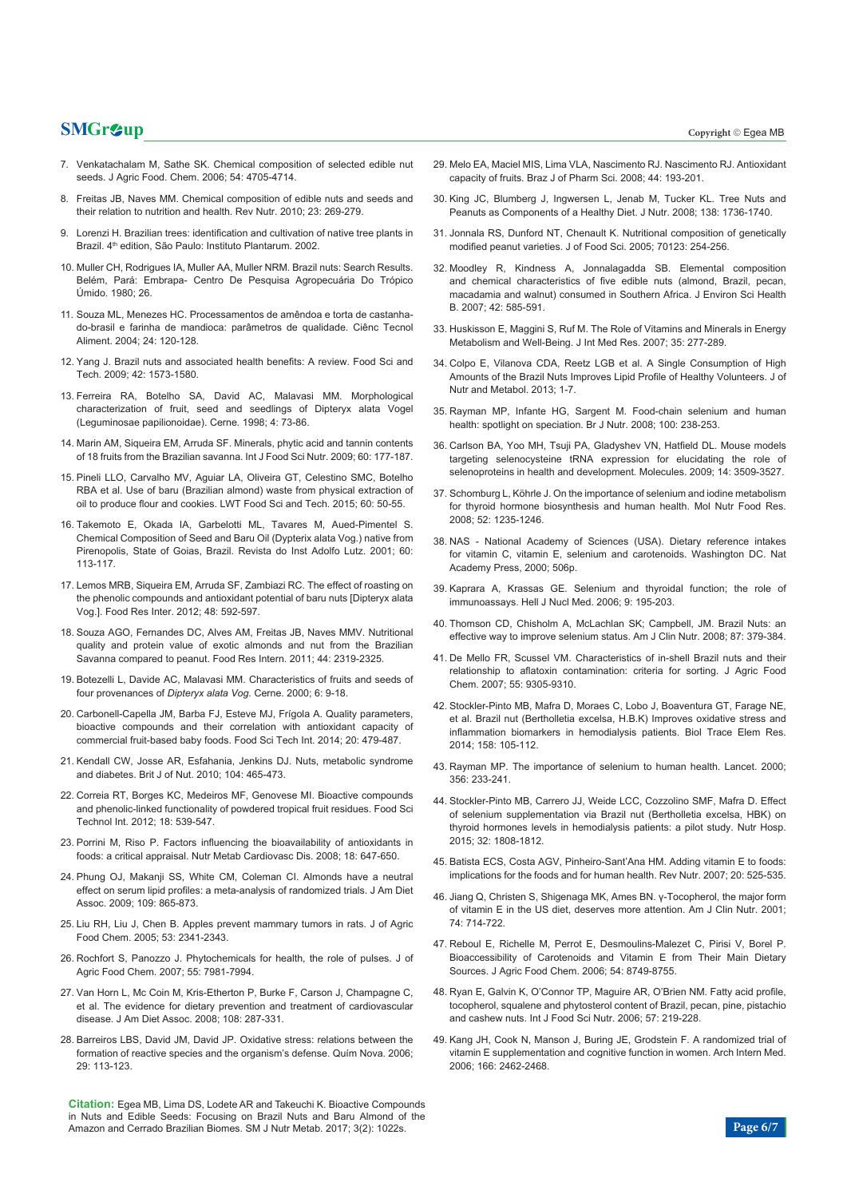- 7. [Venkatachalam M, Sathe SK. Chemical composition of selected edible nut](https://www.ncbi.nlm.nih.gov/pubmed/16787018)  [seeds. J Agric Food. Chem. 2006; 54: 4705-4714.](https://www.ncbi.nlm.nih.gov/pubmed/16787018)
- 8. [Freitas JB, Naves MM. Chemical composition of edible nuts and seeds and](http://www.scielo.br/scielo.php?script=sci_arttext&pid=S1415-52732010000200010)  [their relation to nutrition and health. Rev Nutr. 2010; 23: 269-279.](http://www.scielo.br/scielo.php?script=sci_arttext&pid=S1415-52732010000200010)
- 9. Lorenzi H. Brazilian trees: identification and cultivation of native tree plants in Brazil. 4<sup>th</sup> edition. São Paulo: Instituto Plantarum. 2002.
- 10. Muller CH, Rodrigues IA, Muller AA, Muller NRM. Brazil nuts: Search Results. Belém, Pará: Embrapa- Centro De Pesquisa Agropecuária Do Trópico Úmido. 1980; 26.
- 11. [Souza ML, Menezes HC. Processamentos de amêndoa e torta de castanha](http://www.scielo.br/scielo.php?pid=S0101-20612004000100022&script=sci_abstract&tlng=es)[do-brasil e farinha de mandioca: parâmetros de qualidade. Ciênc Tecnol](http://www.scielo.br/scielo.php?pid=S0101-20612004000100022&script=sci_abstract&tlng=es)  [Aliment. 2004; 24: 120-128.](http://www.scielo.br/scielo.php?pid=S0101-20612004000100022&script=sci_abstract&tlng=es)
- 12. [Yang J. Brazil nuts and associated health benefits: A review. Food Sci and](http://www.sciencedirect.com/science/article/pii/S0023643809001522)  [Tech. 2009; 42: 1573-1580.](http://www.sciencedirect.com/science/article/pii/S0023643809001522)
- 13. [Ferreira RA, Botelho SA, David AC, Malavasi MM. Morphological](http://cerne.ufla.br/site/index.php/CERNE/article/view/598)  [characterization of fruit, seed and seedlings of Dipteryx alata Vogel](http://cerne.ufla.br/site/index.php/CERNE/article/view/598)  [\(Leguminosae papilionoidae\). Cerne. 1998; 4: 73-86.](http://cerne.ufla.br/site/index.php/CERNE/article/view/598)
- 14. [Marin AM, Siqueira EM, Arruda SF. Minerals, phytic acid and tannin contents](https://www.ncbi.nlm.nih.gov/pubmed/19353365)  [of 18 fruits from the Brazilian savanna. Int J Food Sci Nutr. 2009; 60: 177-187.](https://www.ncbi.nlm.nih.gov/pubmed/19353365)
- 15. [Pineli LLO, Carvalho MV, Aguiar LA, Oliveira GT, Celestino SMC, Botelho](http://www.sciencedirect.com/science/article/pii/S002364381400591X)  [RBA et al. Use of baru \(Brazilian almond\) waste from physical extraction of](http://www.sciencedirect.com/science/article/pii/S002364381400591X)  [oil to produce flour and cookies. LWT Food Sci and Tech. 2015; 60: 50-55.](http://www.sciencedirect.com/science/article/pii/S002364381400591X)
- 16. [Takemoto E, Okada IA, Garbelotti ML, Tavares M, Aued-Pimentel S.](https://eurekamag.com/research/003/676/003676927.php)  [Chemical Composition of Seed and Baru Oil \(Dypterix alata Vog.\) native from](https://eurekamag.com/research/003/676/003676927.php)  [Pirenopolis, State of Goias, Brazil. Revista do Inst Adolfo Lutz. 2001; 60:](https://eurekamag.com/research/003/676/003676927.php)  [113-117.](https://eurekamag.com/research/003/676/003676927.php)
- 17. [Lemos MRB, Siqueira EM, Arruda SF, Zambiazi RC. The effect of roasting on](http://www.sciencedirect.com/science/article/pii/S0963996912001925)  [the phenolic compounds and antioxidant potential of baru nuts \[Dipteryx alata](http://www.sciencedirect.com/science/article/pii/S0963996912001925)  [Vog.\]. Food Res Inter. 2012; 48: 592-597.](http://www.sciencedirect.com/science/article/pii/S0963996912001925)
- 18. [Souza AGO, Fernandes DC, Alves AM, Freitas JB, Naves MMV. Nutritional](http://www.sciencedirect.com/science/article/pii/S0963996911001001)  [quality and protein value of exotic almonds and nut from the Brazilian](http://www.sciencedirect.com/science/article/pii/S0963996911001001)  [Savanna compared to peanut. Food Res Intern. 2011; 44: 2319-2325.](http://www.sciencedirect.com/science/article/pii/S0963996911001001)
- 19. Botezelli L, Davide AC, Malavasi MM. Characteristics of fruits and seeds of four provenances of *Dipteryx alata Vog.* Cerne. 2000; 6: 9-18.
- 20. [Carbonell-Capella JM, Barba FJ, Esteve MJ, Frígola A. Quality parameters,](https://www.ncbi.nlm.nih.gov/pubmed/23794435)  [bioactive compounds and their correlation with antioxidant capacity of](https://www.ncbi.nlm.nih.gov/pubmed/23794435)  [commercial fruit-based baby foods. Food Sci Tech Int. 2014; 20: 479-487.](https://www.ncbi.nlm.nih.gov/pubmed/23794435)
- 21. [Kendall CW, Josse AR, Esfahania, Jenkins DJ. Nuts, metabolic syndrome](https://www.cambridge.org/core/journals/british-journal-of-nutrition/article/nuts-metabolic-syndrome-and-diabetes/19F0707996FFFAB25345F9775B1A471E)  [and diabetes. Brit J of Nut. 2010; 104: 465-473.](https://www.cambridge.org/core/journals/british-journal-of-nutrition/article/nuts-metabolic-syndrome-and-diabetes/19F0707996FFFAB25345F9775B1A471E)
- 22. [Correia RT, Borges KC, Medeiros MF, Genovese MI. Bioactive compounds](https://www.ncbi.nlm.nih.gov/pubmed/23014856)  [and phenolic-linked functionality of powdered tropical fruit residues. Food Sci](https://www.ncbi.nlm.nih.gov/pubmed/23014856)  [Technol Int. 2012; 18: 539-547.](https://www.ncbi.nlm.nih.gov/pubmed/23014856)
- 23. [Porrini M, Riso P. Factors influencing the bioavailability of antioxidants in](https://www.ncbi.nlm.nih.gov/pubmed/18996686)  [foods: a critical appraisal. Nutr Metab Cardiovasc Dis. 2008; 18: 647-650.](https://www.ncbi.nlm.nih.gov/pubmed/18996686)
- 24. [Phung OJ, Makanji SS, White CM, Coleman CI. Almonds have a neutral](https://www.ncbi.nlm.nih.gov/pubmed/19394473)  [effect on serum lipid profiles: a meta-analysis of randomized trials. J Am Diet](https://www.ncbi.nlm.nih.gov/pubmed/19394473)  [Assoc. 2009; 109: 865-873.](https://www.ncbi.nlm.nih.gov/pubmed/19394473)
- 25. [Liu RH, Liu J, Chen B. Apples prevent mammary tumors in rats. J of Agric](https://www.ncbi.nlm.nih.gov/pubmed/15769178)  [Food Chem. 2005; 53: 2341-2343.](https://www.ncbi.nlm.nih.gov/pubmed/15769178)
- 26. [Rochfort S, Panozzo J. Phytochemicals for health, the role of pulses. J of](https://www.ncbi.nlm.nih.gov/pubmed/17784726)  [Agric Food Chem. 2007; 55: 7981-7994.](https://www.ncbi.nlm.nih.gov/pubmed/17784726)
- 27. [Van Horn L, Mc Coin M, Kris-Etherton P, Burke F, Carson J, Champagne C,](https://www.ncbi.nlm.nih.gov/pubmed/18237578)  [et al. The evidence for dietary prevention and treatment of cardiovascular](https://www.ncbi.nlm.nih.gov/pubmed/18237578)  [disease. J Am Diet Assoc. 2008; 108: 287-331.](https://www.ncbi.nlm.nih.gov/pubmed/18237578)
- 28. [Barreiros LBS, David JM, David JP. Oxidative stress: relations between the](http://www.scielo.br/scielo.php?script=sci_arttext&pid=S0100-40422006000100021)  [formation of reactive species and the organism's defense. Quím Nova. 2006;](http://www.scielo.br/scielo.php?script=sci_arttext&pid=S0100-40422006000100021)  [29: 113-123.](http://www.scielo.br/scielo.php?script=sci_arttext&pid=S0100-40422006000100021)

**Citation:** Egea MB, Lima DS, Lodete AR and Takeuchi K. Bioactive Compounds in Nuts and Edible Seeds: Focusing on Brazil Nuts and Baru Almond of the Amazon and Cerrado Brazilian Biomes. SM J Nutr Metab. 2017; 3(2): 1022s. **Page 6/7 Page 6/7** 

- 29. Melo EA, Maciel MIS, Lima VLA, Nascimento RJ. Nascimento RJ. Antioxidant capacity of fruits. Braz J of Pharm Sci. 2008; 44: 193-201.
- 30. [King JC, Blumberg J, Ingwersen L, Jenab M, Tucker KL. Tree Nuts and](https://www.ncbi.nlm.nih.gov/pubmed/18716178)  [Peanuts as Components of a Healthy Diet. J Nutr. 2008; 138: 1736-1740.](https://www.ncbi.nlm.nih.gov/pubmed/18716178)
- 31. [Jonnala RS, Dunford NT, Chenault K. Nutritional composition of genetically](http://onlinelibrary.wiley.com/doi/10.1111/j.1365-2621.2005.tb07198.x/abstract)  [modified peanut varieties. J of Food Sci. 2005; 70123: 254-256.](http://onlinelibrary.wiley.com/doi/10.1111/j.1365-2621.2005.tb07198.x/abstract)
- 32. [Moodley R, Kindness A, Jonnalagadda SB. Elemental composition](https://www.ncbi.nlm.nih.gov/pubmed/17562467)  [and chemical characteristics of five edible nuts \(almond, Brazil, pecan,](https://www.ncbi.nlm.nih.gov/pubmed/17562467)  [macadamia and walnut\) consumed in Southern Africa. J Environ Sci Health](https://www.ncbi.nlm.nih.gov/pubmed/17562467)  [B. 2007; 42: 585-591.](https://www.ncbi.nlm.nih.gov/pubmed/17562467)
- 33. [Huskisson E, Maggini S, Ruf M. The Role of Vitamins and Minerals in Energy](https://www.ncbi.nlm.nih.gov/pubmed/17593855)  [Metabolism and Well-Being. J Int Med Res. 2007; 35: 277-289.](https://www.ncbi.nlm.nih.gov/pubmed/17593855)
- 34. [Colpo E, Vilanova CDA, Reetz LGB et al. A Single Consumption of High](https://www.hindawi.com/journals/jnme/2013/653185/)  [Amounts of the Brazil Nuts Improves Lipid Profile of Healthy Volunteers. J of](https://www.hindawi.com/journals/jnme/2013/653185/)  [Nutr and Metabol. 2013; 1-7.](https://www.hindawi.com/journals/jnme/2013/653185/)
- 35. [Rayman MP, Infante HG, Sargent M. Food-chain selenium and human](https://www.ncbi.nlm.nih.gov/pubmed/18346307)  [health: spotlight on speciation. Br J Nutr. 2008; 100: 238-253.](https://www.ncbi.nlm.nih.gov/pubmed/18346307)
- 36. [Carlson BA, Yoo MH, Tsuji PA, Gladyshev VN, Hatfield DL. Mouse models](https://www.ncbi.nlm.nih.gov/pubmed/19783940)  [targeting selenocysteine tRNA expression for elucidating the role of](https://www.ncbi.nlm.nih.gov/pubmed/19783940)  [selenoproteins in health and development. Molecules. 2009; 14: 3509-3527.](https://www.ncbi.nlm.nih.gov/pubmed/19783940)
- 37. [Schomburg L, Köhrle J. On the importance of selenium and iodine metabolism](https://www.ncbi.nlm.nih.gov/pubmed/18686295)  [for thyroid hormone biosynthesis and human health. Mol Nutr Food Res.](https://www.ncbi.nlm.nih.gov/pubmed/18686295)  [2008; 52: 1235-1246.](https://www.ncbi.nlm.nih.gov/pubmed/18686295)
- 38. [NAS National Academy of Sciences \(USA\). Dietary reference intakes](https://www.ncbi.nlm.nih.gov/books/NBK225483/)  [for vitamin C, vitamin E, selenium and carotenoids. Washington DC. Nat](https://www.ncbi.nlm.nih.gov/books/NBK225483/)  [Academy Press, 2000; 506p.](https://www.ncbi.nlm.nih.gov/books/NBK225483/)
- 39. [Kaprara A, Krassas GE. Selenium and thyroidal function; the role of](https://www.ncbi.nlm.nih.gov/pubmed/17160166)  [immunoassays. Hell J Nucl Med. 2006; 9: 195-203.](https://www.ncbi.nlm.nih.gov/pubmed/17160166)
- 40. [Thomson CD, Chisholm A, McLachlan SK; Campbell, JM. Brazil Nuts: an](https://www.ncbi.nlm.nih.gov/pubmed/18258628)  [effective way to improve selenium status. Am J Clin Nutr. 2008; 87: 379-384.](https://www.ncbi.nlm.nih.gov/pubmed/18258628)
- 41. [De Mello FR, Scussel VM. Characteristics of in-shell Brazil nuts and their](https://www.ncbi.nlm.nih.gov/pubmed/17924705)  [relationship to aflatoxin contamination: criteria for sorting. J Agric Food](https://www.ncbi.nlm.nih.gov/pubmed/17924705)  [Chem. 2007; 55: 9305-9310.](https://www.ncbi.nlm.nih.gov/pubmed/17924705)
- 42. [Stockler-Pinto MB, Mafra D, Moraes C, Lobo J, Boaventura GT, Farage NE,](https://www.ncbi.nlm.nih.gov/pubmed/24504745)  [et al. Brazil nut \(Bertholletia excelsa, H.B.K\) Improves oxidative stress and](https://www.ncbi.nlm.nih.gov/pubmed/24504745)  [inflammation biomarkers in hemodialysis patients. Biol Trace Elem Res.](https://www.ncbi.nlm.nih.gov/pubmed/24504745)  [2014; 158: 105-112.](https://www.ncbi.nlm.nih.gov/pubmed/24504745)
- 43. [Rayman MP. The importance of selenium to human health. Lancet. 2000;](https://www.ncbi.nlm.nih.gov/pubmed/10963212)  [356: 233-241.](https://www.ncbi.nlm.nih.gov/pubmed/10963212)
- 44. [Stockler-Pinto MB, Carrero JJ, Weide LCC, Cozzolino SMF, Mafra D. Effect](https://www.ncbi.nlm.nih.gov/pubmed/26545554)  [of selenium supplementation via Brazil nut \(Bertholletia excelsa, HBK\) on](https://www.ncbi.nlm.nih.gov/pubmed/26545554)  [thyroid hormones levels in hemodialysis patients: a pilot study. Nutr Hosp.](https://www.ncbi.nlm.nih.gov/pubmed/26545554)  [2015; 32: 1808-1812.](https://www.ncbi.nlm.nih.gov/pubmed/26545554)
- 45. [Batista ECS, Costa AGV, Pinheiro-Sant'Ana HM. Adding vitamin E to foods:](http://www.scielo.br/scielo.php?script=sci_arttext&pid=S1415-52732007000500008)  [implications for the foods and for human health. Rev Nutr. 2007; 20: 525-535.](http://www.scielo.br/scielo.php?script=sci_arttext&pid=S1415-52732007000500008)
- 46. [Jiang Q, Christen S, Shigenaga MK, Ames BN. γ-Tocopherol, the major form](https://www.ncbi.nlm.nih.gov/pubmed/11722951)  [of vitamin E in the US diet, deserves more attention. Am J Clin Nutr. 2001;](https://www.ncbi.nlm.nih.gov/pubmed/11722951)  [74: 714-722.](https://www.ncbi.nlm.nih.gov/pubmed/11722951)
- 47. [Reboul E, Richelle M, Perrot E, Desmoulins-Malezet C, Pirisi V, Borel P.](https://www.ncbi.nlm.nih.gov/pubmed/17090117)  [Bioaccessibility of Carotenoids and Vitamin E from Their Main Dietary](https://www.ncbi.nlm.nih.gov/pubmed/17090117)  [Sources. J Agric Food Chem. 2006; 54: 8749-8755.](https://www.ncbi.nlm.nih.gov/pubmed/17090117)
- 48. [Ryan E, Galvin K, O'Connor TP, Maguire AR, O'Brien NM. Fatty acid profile,](https://www.ncbi.nlm.nih.gov/pubmed/17127473)  [tocopherol, squalene and phytosterol content of Brazil, pecan, pine, pistachio](https://www.ncbi.nlm.nih.gov/pubmed/17127473)  [and cashew nuts. Int J Food Sci Nutr. 2006; 57: 219-228.](https://www.ncbi.nlm.nih.gov/pubmed/17127473)
- 49. [Kang JH, Cook N, Manson J, Buring JE, Grodstein F. A randomized trial of](https://www.ncbi.nlm.nih.gov/pubmed/17159011)  [vitamin E supplementation and cognitive function in women. Arch Intern Med.](https://www.ncbi.nlm.nih.gov/pubmed/17159011)  [2006; 166: 2462-2468.](https://www.ncbi.nlm.nih.gov/pubmed/17159011)